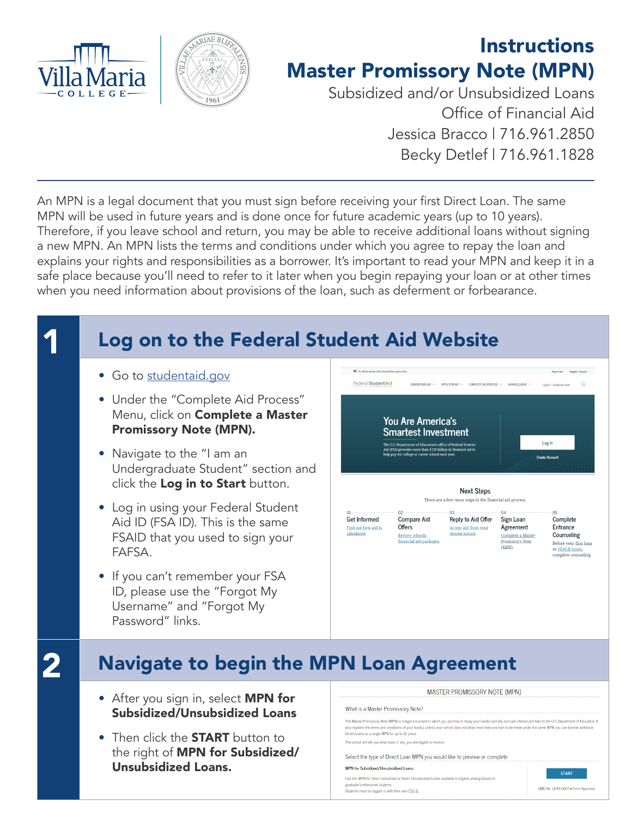



## **Instructions** Master Promissory Note (MPN)

Subsidized and/or Unsubsidized Loans Office of Financial Aid Jessica Bracco | 716.961.2850 Becky Detlef | 716.961.1828

An MPN is a legal document that you must sign before receiving your first Direct Loan. The same MPN will be used in future years and is done once for future academic years (up to 10 years). Therefore, if you leave school and return, you may be able to receive additional loans without signing a new MPN. An MPN lists the terms and conditions under which you agree to repay the loan and explains your rights and responsibilities as a borrower. It's important to read your MPN and keep it in a safe place because you'll need to refer to it later when you begin repaying your loan or at other times when you need information about provisions of the loan, such as deferment or forbearance.

# **1 Log on to the Federal Student Aid Website**

- Go to [studentaid.gov](http://studentaid.gov)
- Under the "Complete Aid Process" Menu, click on **Complete a Master** Promissory Note (MPN).
- Navigate to the "I am an Undergraduate Student" section and click the Log in to Start button.
- Log in using your Federal Student Aid ID (FSA ID). This is the same FSAID that you used to sign your FAFSA.
- If you can't remember your FSA ID, please use the "Forgot My Username" and "Forgot My Password" links.



# **2** Navigate to begin the MPN Loan Agreement

- After you sign in, select MPN for Subsidized/Unsubsidized Loans
- Then click the **START** button to the right of **MPN for Subsidized/** Unsubsidized Loans.

## What is a Master Promissory Note?

The Master Promissory Note (MPN) is a legal document in which you promise to repay your loan(s) and any accrued interest and fees to the U.S. Department of Educ<br>also explains the terms and conditions of your loan(s). Unles The Master Promissory Note (MPN) is a legal document in which you promise to repay your loan(s) and any accrued interest and fees to the U.S. Department of Education. It

The school will tell you what loans, if any, you are eligible to receive

Select the type of Direct Loan MPN you would like to preview or complete

## MPN for Subsidized/Unsubsidized Loans

Use this MPN for Direct Subsidized or Direct Unsubsidized Loans available to eligible undergraduate or atnebuta lend Students must be logged in with their own **FSA ID**.



OMB No. 1845-0007 . Form Approved